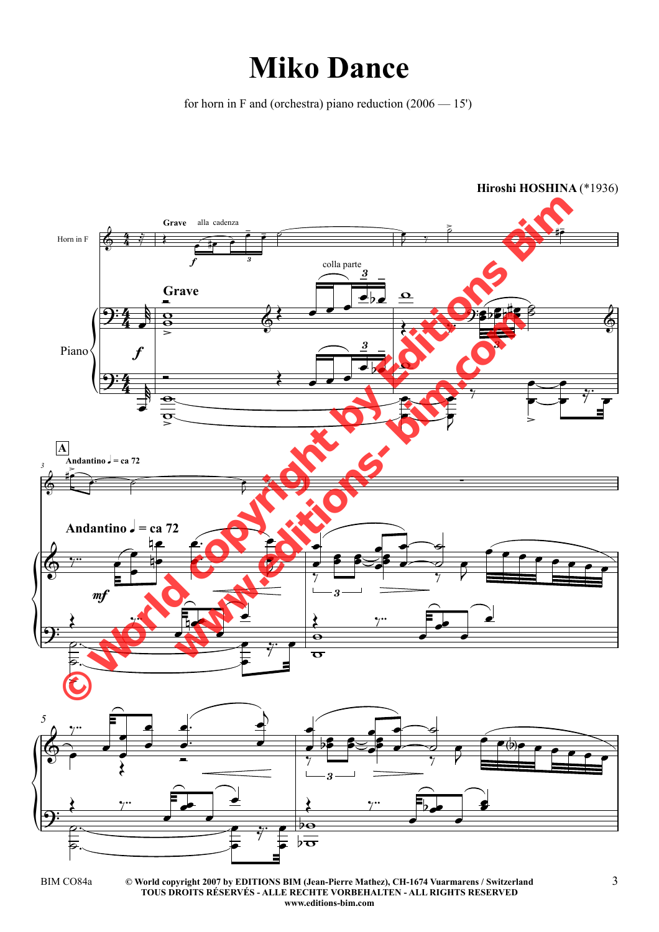## **Miko Dance**

for horn in F and (orchestra) piano reduction  $(2006 - 15)$ 



**Hiroshi HOSHINA** (\*1936)

**<sup>©</sup> World copyright 2007 by EDITIONS BIM (Jean-Pierre Mathez), CH-1674 Vuarmarens / Switzerland TOUS DROITS RÉSERVÉS - ALLE RECHTE VORBEHALTEN - ALL RIGHTS RESERVED www.editions-bim.com** BIM CO84a © World copyright 2007 by EDITIONS BIM (Jean-Pierre Mathez), CH-1674 Vuarmarens / Switzerland 3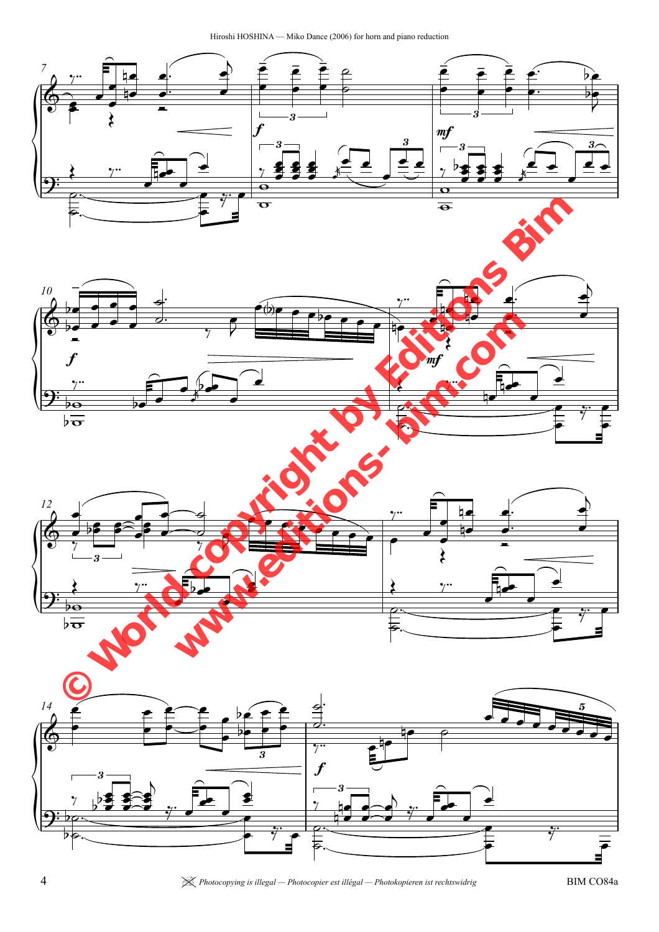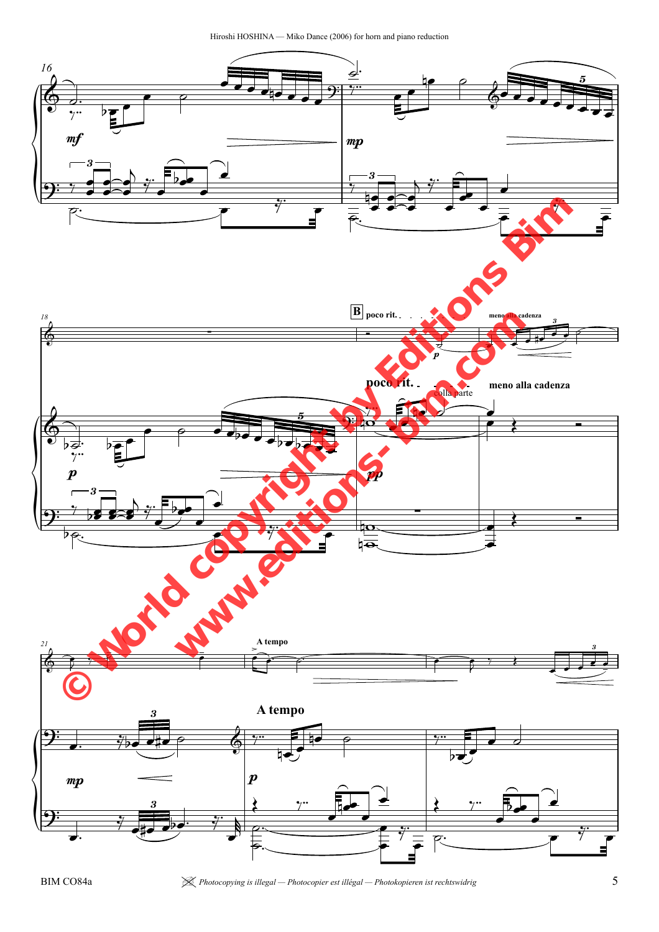

BIM CO84a | *Photocopying is illegal — Photocopier est illégal — Photokopieren ist rechtswidrig*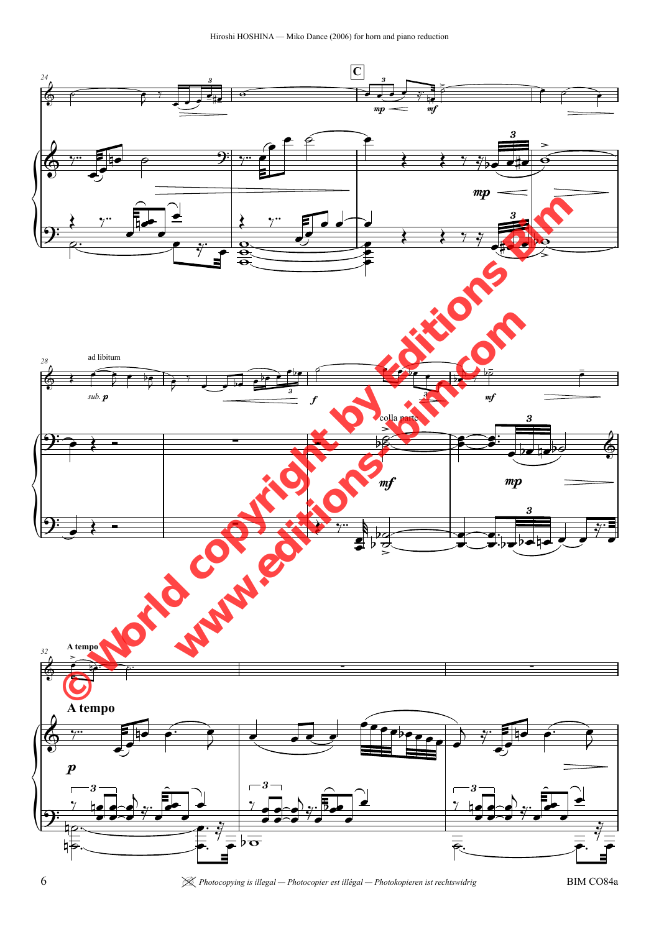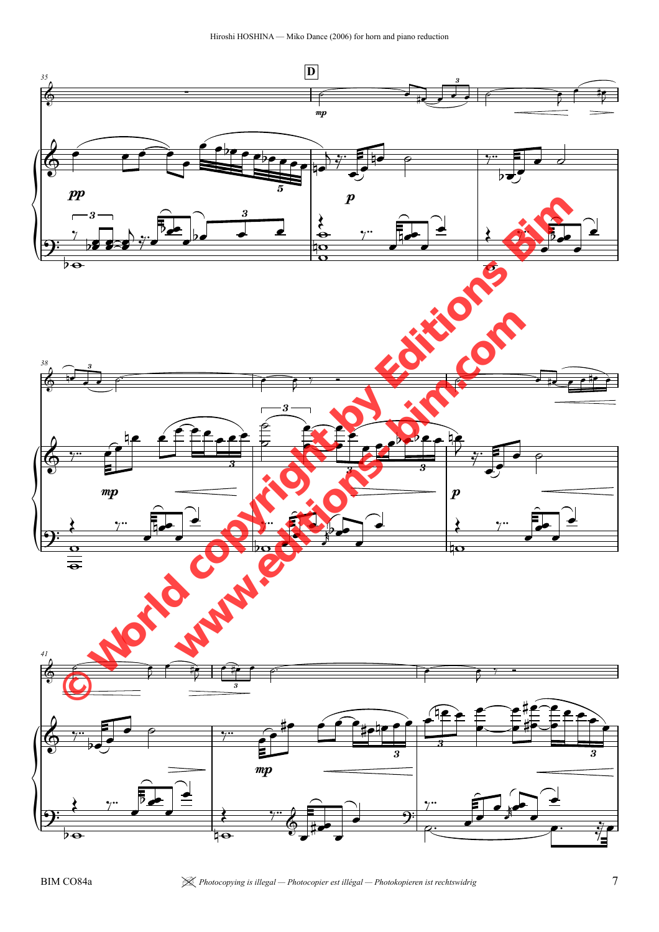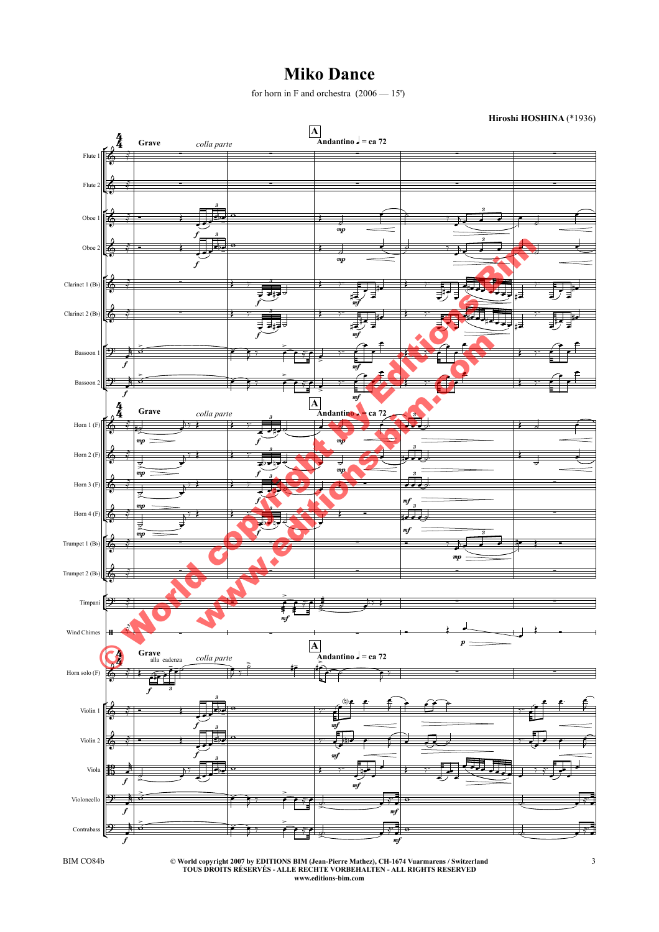## **Miko Dance**

for horn in F and orchestra  $(2006 - 15)$ 



**© World copyright 2007 by EDITIONS BIM (Jean-Pierre Mathez), CH-1674 Vuarmarens / Switzerland TOUS DROITS RÉSERVÉS - ALLE RECHTE VORBEHALTEN - ALL RIGHTS RESERVED www.editions-bim.com** BIM CO84b C World copyright 2007 by EDITIONS BIM (Jean-Pierre Mathez), CH-1674 Vuarmarens / Switzerland 3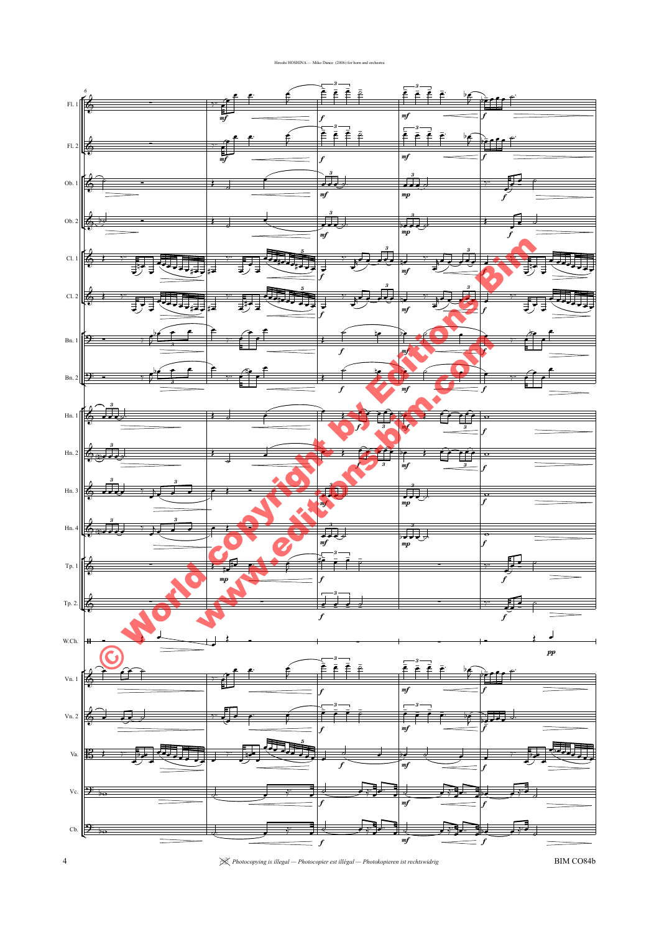

<sup>|</sup> *Photocopying is illegal — Photocopier est illégal — Photokopieren ist rechtswidrig* BIM CO84b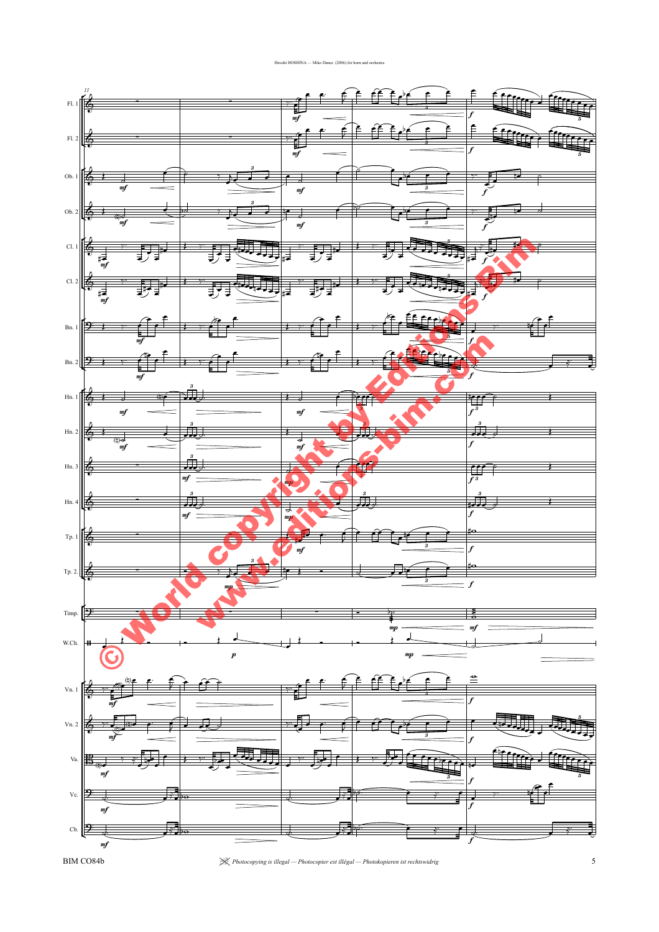

hi HOSHINA — Miko Dance (2006) for horn

BIM CO84b | *Photocopying is illegal — Photocopier est illégal — Photokopieren ist rechtswidrig*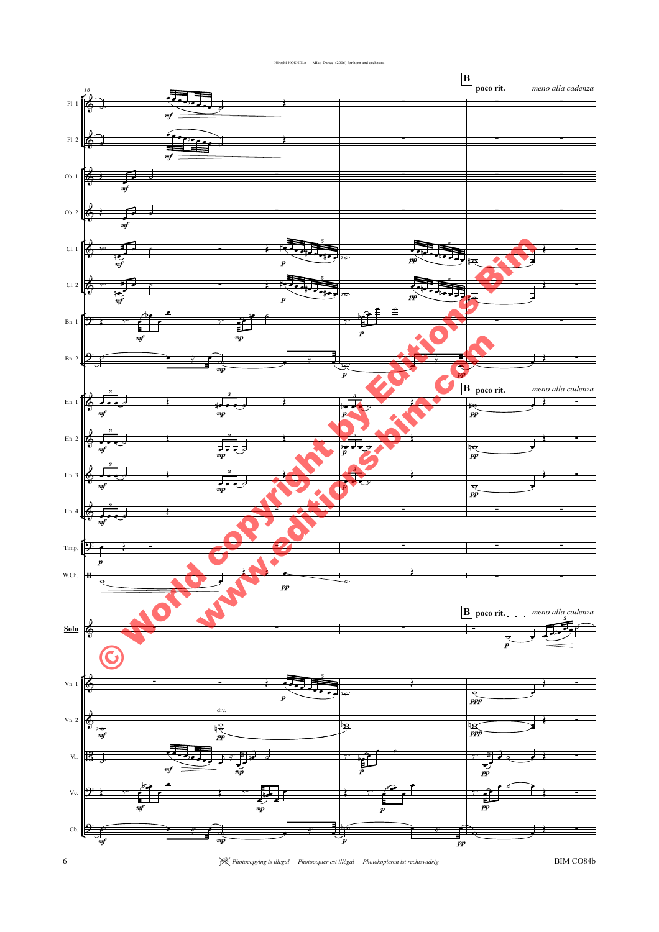

6

| *Photocopying is illegal — Photocopier est illégal — Photokopieren ist rechtswidrig* BIM CO84b